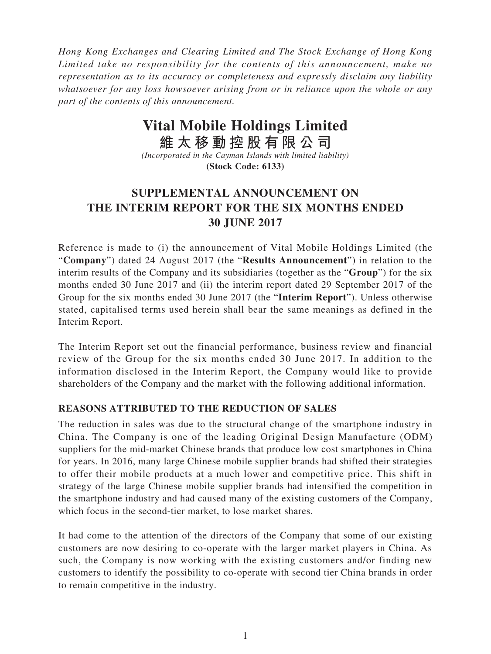*Hong Kong Exchanges and Clearing Limited and The Stock Exchange of Hong Kong Limited take no responsibility for the contents of this announcement, make no representation as to its accuracy or completeness and expressly disclaim any liability whatsoever for any loss howsoever arising from or in reliance upon the whole or any part of the contents of this announcement.*

# **Vital Mobile Holdings Limited**

**維太移動控股有限公司** *(Incorporated in the Cayman Islands with limited liability)* **(Stock Code: 6133)**

# **SUPPLEMENTAL ANNOUNCEMENT ON THE INTERIM REPORT FOR THE SIX MONTHS ENDED 30 JUNE 2017**

Reference is made to (i) the announcement of Vital Mobile Holdings Limited (the "**Company**") dated 24 August 2017 (the "**Results Announcement**") in relation to the interim results of the Company and its subsidiaries (together as the "**Group**") for the six months ended 30 June 2017 and (ii) the interim report dated 29 September 2017 of the Group for the six months ended 30 June 2017 (the "**Interim Report**"). Unless otherwise stated, capitalised terms used herein shall bear the same meanings as defined in the Interim Report.

The Interim Report set out the financial performance, business review and financial review of the Group for the six months ended 30 June 2017. In addition to the information disclosed in the Interim Report, the Company would like to provide shareholders of the Company and the market with the following additional information.

#### **REASONS ATTRIBUTED TO THE REDUCTION OF SALES**

The reduction in sales was due to the structural change of the smartphone industry in China. The Company is one of the leading Original Design Manufacture (ODM) suppliers for the mid-market Chinese brands that produce low cost smartphones in China for years. In 2016, many large Chinese mobile supplier brands had shifted their strategies to offer their mobile products at a much lower and competitive price. This shift in strategy of the large Chinese mobile supplier brands had intensified the competition in the smartphone industry and had caused many of the existing customers of the Company, which focus in the second-tier market, to lose market shares.

It had come to the attention of the directors of the Company that some of our existing customers are now desiring to co-operate with the larger market players in China. As such, the Company is now working with the existing customers and/or finding new customers to identify the possibility to co-operate with second tier China brands in order to remain competitive in the industry.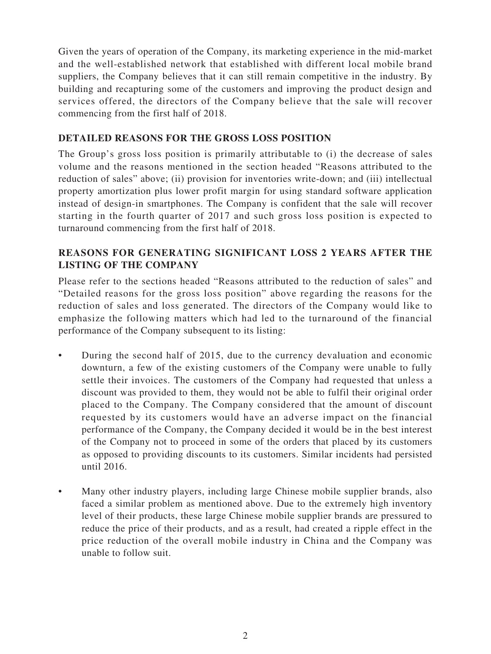Given the years of operation of the Company, its marketing experience in the mid-market and the well-established network that established with different local mobile brand suppliers, the Company believes that it can still remain competitive in the industry. By building and recapturing some of the customers and improving the product design and services offered, the directors of the Company believe that the sale will recover commencing from the first half of 2018.

#### **DETAILED REASONS FOR THE GROSS LOSS POSITION**

The Group's gross loss position is primarily attributable to (i) the decrease of sales volume and the reasons mentioned in the section headed "Reasons attributed to the reduction of sales" above; (ii) provision for inventories write-down; and (iii) intellectual property amortization plus lower profit margin for using standard software application instead of design-in smartphones. The Company is confident that the sale will recover starting in the fourth quarter of 2017 and such gross loss position is expected to turnaround commencing from the first half of 2018.

#### **REASONS FOR GENERATING SIGNIFICANT LOSS 2 YEARS AFTER THE LISTING OF THE COMPANY**

Please refer to the sections headed "Reasons attributed to the reduction of sales" and "Detailed reasons for the gross loss position" above regarding the reasons for the reduction of sales and loss generated. The directors of the Company would like to emphasize the following matters which had led to the turnaround of the financial performance of the Company subsequent to its listing:

- During the second half of 2015, due to the currency devaluation and economic downturn, a few of the existing customers of the Company were unable to fully settle their invoices. The customers of the Company had requested that unless a discount was provided to them, they would not be able to fulfil their original order placed to the Company. The Company considered that the amount of discount requested by its customers would have an adverse impact on the financial performance of the Company, the Company decided it would be in the best interest of the Company not to proceed in some of the orders that placed by its customers as opposed to providing discounts to its customers. Similar incidents had persisted until 2016.
- Many other industry players, including large Chinese mobile supplier brands, also faced a similar problem as mentioned above. Due to the extremely high inventory level of their products, these large Chinese mobile supplier brands are pressured to reduce the price of their products, and as a result, had created a ripple effect in the price reduction of the overall mobile industry in China and the Company was unable to follow suit.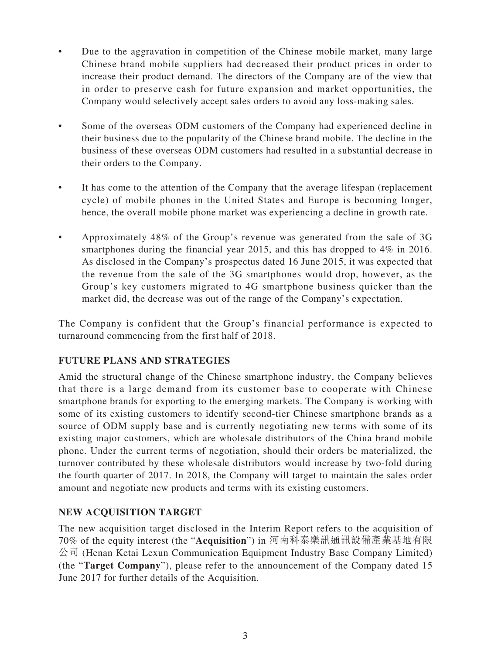- Due to the aggravation in competition of the Chinese mobile market, many large Chinese brand mobile suppliers had decreased their product prices in order to increase their product demand. The directors of the Company are of the view that in order to preserve cash for future expansion and market opportunities, the Company would selectively accept sales orders to avoid any loss-making sales.
- Some of the overseas ODM customers of the Company had experienced decline in their business due to the popularity of the Chinese brand mobile. The decline in the business of these overseas ODM customers had resulted in a substantial decrease in their orders to the Company.
- It has come to the attention of the Company that the average lifespan (replacement cycle) of mobile phones in the United States and Europe is becoming longer, hence, the overall mobile phone market was experiencing a decline in growth rate.
- Approximately  $48\%$  of the Group's revenue was generated from the sale of 3G smartphones during the financial year 2015, and this has dropped to 4% in 2016. As disclosed in the Company's prospectus dated 16 June 2015, it was expected that the revenue from the sale of the 3G smartphones would drop, however, as the Group's key customers migrated to 4G smartphone business quicker than the market did, the decrease was out of the range of the Company's expectation.

The Company is confident that the Group's financial performance is expected to turnaround commencing from the first half of 2018.

#### **FUTURE PLANS AND STRATEGIES**

Amid the structural change of the Chinese smartphone industry, the Company believes that there is a large demand from its customer base to cooperate with Chinese smartphone brands for exporting to the emerging markets. The Company is working with some of its existing customers to identify second-tier Chinese smartphone brands as a source of ODM supply base and is currently negotiating new terms with some of its existing major customers, which are wholesale distributors of the China brand mobile phone. Under the current terms of negotiation, should their orders be materialized, the turnover contributed by these wholesale distributors would increase by two-fold during the fourth quarter of 2017. In 2018, the Company will target to maintain the sales order amount and negotiate new products and terms with its existing customers.

#### **NEW ACQUISITION TARGET**

The new acquisition target disclosed in the Interim Report refers to the acquisition of 70% of the equity interest (the "**Acquisition**") in 河南科泰樂訊通訊設備產業基地有限 公司 (Henan Ketai Lexun Communication Equipment Industry Base Company Limited) (the "**Target Company**"), please refer to the announcement of the Company dated 15 June 2017 for further details of the Acquisition.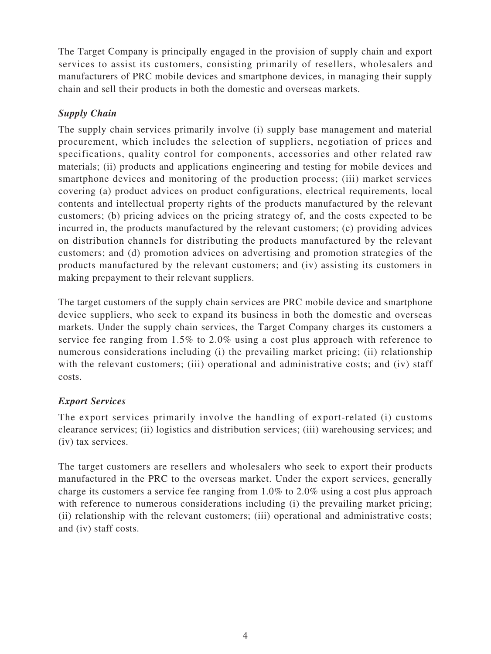The Target Company is principally engaged in the provision of supply chain and export services to assist its customers, consisting primarily of resellers, wholesalers and manufacturers of PRC mobile devices and smartphone devices, in managing their supply chain and sell their products in both the domestic and overseas markets.

### *Supply Chain*

The supply chain services primarily involve (i) supply base management and material procurement, which includes the selection of suppliers, negotiation of prices and specifications, quality control for components, accessories and other related raw materials; (ii) products and applications engineering and testing for mobile devices and smartphone devices and monitoring of the production process; (iii) market services covering (a) product advices on product configurations, electrical requirements, local contents and intellectual property rights of the products manufactured by the relevant customers; (b) pricing advices on the pricing strategy of, and the costs expected to be incurred in, the products manufactured by the relevant customers; (c) providing advices on distribution channels for distributing the products manufactured by the relevant customers; and (d) promotion advices on advertising and promotion strategies of the products manufactured by the relevant customers; and (iv) assisting its customers in making prepayment to their relevant suppliers.

The target customers of the supply chain services are PRC mobile device and smartphone device suppliers, who seek to expand its business in both the domestic and overseas markets. Under the supply chain services, the Target Company charges its customers a service fee ranging from 1.5% to 2.0% using a cost plus approach with reference to numerous considerations including (i) the prevailing market pricing; (ii) relationship with the relevant customers; (iii) operational and administrative costs; and (iv) staff costs.

## *Export Services*

The export services primarily involve the handling of export-related (i) customs clearance services; (ii) logistics and distribution services; (iii) warehousing services; and (iv) tax services.

The target customers are resellers and wholesalers who seek to export their products manufactured in the PRC to the overseas market. Under the export services, generally charge its customers a service fee ranging from 1.0% to 2.0% using a cost plus approach with reference to numerous considerations including (i) the prevailing market pricing; (ii) relationship with the relevant customers; (iii) operational and administrative costs; and (iv) staff costs.